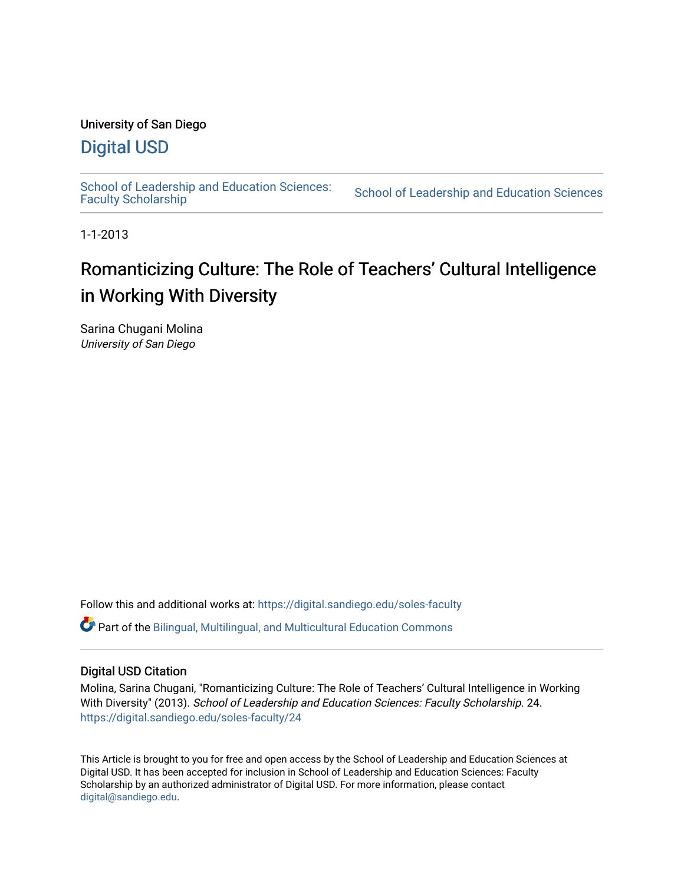## University of San Diego

## [Digital USD](https://digital.sandiego.edu/)

School of Leadership and Education Sciences:<br>Faculty Scholarship

School of Leadership and Education Sciences

1-1-2013

# Romanticizing Culture: The Role of Teachers' Cultural Intelligence in Working With Diversity

Sarina Chugani Molina University of San Diego

Follow this and additional works at: [https://digital.sandiego.edu/soles-faculty](https://digital.sandiego.edu/soles-faculty?utm_source=digital.sandiego.edu%2Fsoles-faculty%2F24&utm_medium=PDF&utm_campaign=PDFCoverPages) 

Part of the [Bilingual, Multilingual, and Multicultural Education Commons](https://network.bepress.com/hgg/discipline/785?utm_source=digital.sandiego.edu%2Fsoles-faculty%2F24&utm_medium=PDF&utm_campaign=PDFCoverPages) 

## Digital USD Citation

Molina, Sarina Chugani, "Romanticizing Culture: The Role of Teachers' Cultural Intelligence in Working With Diversity" (2013). School of Leadership and Education Sciences: Faculty Scholarship. 24. [https://digital.sandiego.edu/soles-faculty/24](https://digital.sandiego.edu/soles-faculty/24?utm_source=digital.sandiego.edu%2Fsoles-faculty%2F24&utm_medium=PDF&utm_campaign=PDFCoverPages) 

This Article is brought to you for free and open access by the School of Leadership and Education Sciences at Digital USD. It has been accepted for inclusion in School of Leadership and Education Sciences: Faculty Scholarship by an authorized administrator of Digital USD. For more information, please contact [digital@sandiego.edu](mailto:digital@sandiego.edu).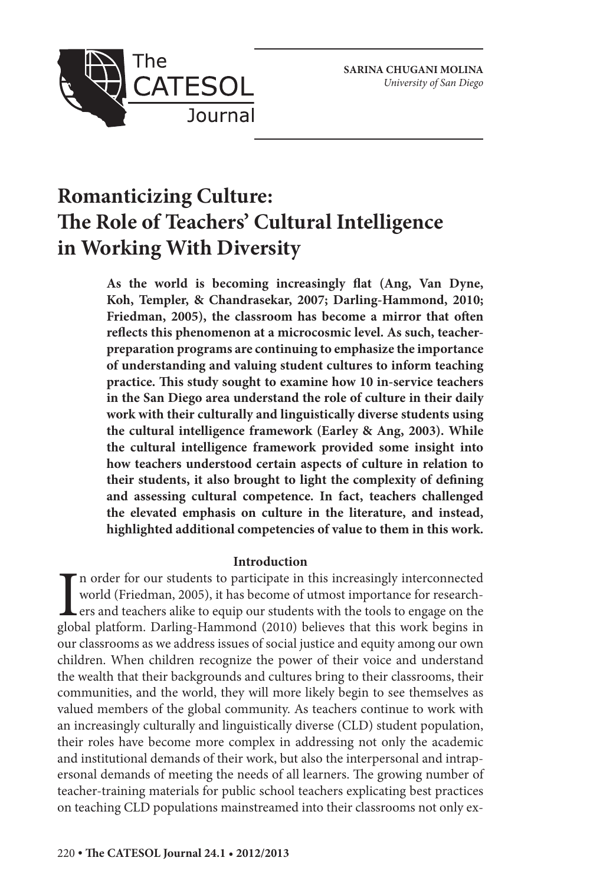

## **Romanticizing Culture: The Role of Teachers' Cultural Intelligence in Working With Diversity**

**As the world is becoming increasingly flat (Ang, Van Dyne, Koh, Templer, & Chandrasekar, 2007; Darling-Hammond, 2010; Friedman, 2005), the classroom has become a mirror that often reflects this phenomenon at a microcosmic level. As such, teacherpreparation programs are continuing to emphasize the importance of understanding and valuing student cultures to inform teaching practice. This study sought to examine how 10 in-service teachers in the San Diego area understand the role of culture in their daily work with their culturally and linguistically diverse students using the cultural intelligence framework (Earley & Ang, 2003). While the cultural intelligence framework provided some insight into how teachers understood certain aspects of culture in relation to their students, it also brought to light the complexity of defining and assessing cultural competence. In fact, teachers challenged the elevated emphasis on culture in the literature, and instead, highlighted additional competencies of value to them in this work.**

### **Introduction**

In order for our students to participate in this increasingly interconnected world (Friedman, 2005), it has become of utmost importance for researchers and teachers alike to equip our students with the tools to engage on t n order for our students to participate in this increasingly interconnected world (Friedman, 2005), it has become of utmost importance for research-**Lers and teachers alike to equip our students with the tools to engage on the** our classrooms as we address issues of social justice and equity among our own children. When children recognize the power of their voice and understand the wealth that their backgrounds and cultures bring to their classrooms, their communities, and the world, they will more likely begin to see themselves as valued members of the global community. As teachers continue to work with an increasingly culturally and linguistically diverse (CLD) student population, their roles have become more complex in addressing not only the academic and institutional demands of their work, but also the interpersonal and intrapersonal demands of meeting the needs of all learners. The growing number of teacher-training materials for public school teachers explicating best practices on teaching CLD populations mainstreamed into their classrooms not only ex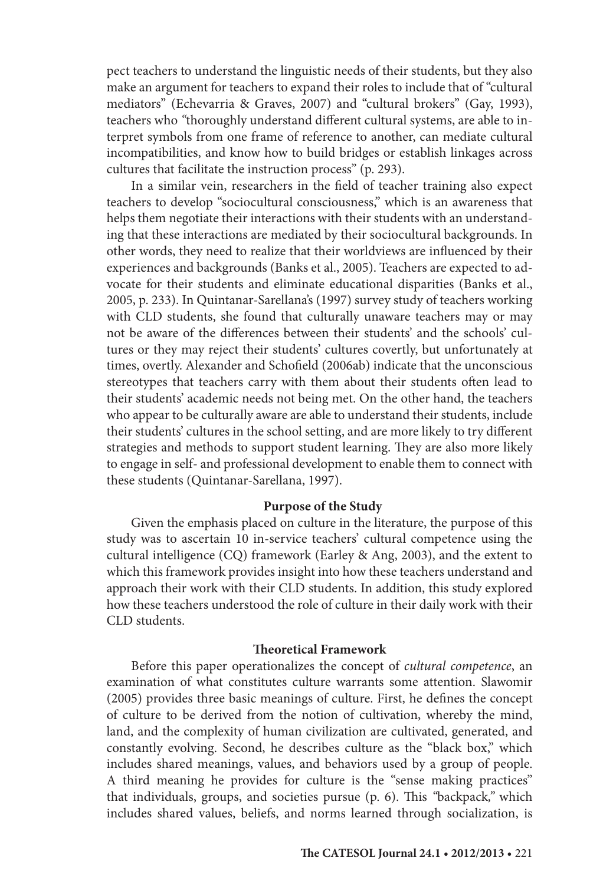pect teachers to understand the linguistic needs of their students, but they also make an argument for teachers to expand their roles to include that of "cultural mediators" (Echevarria & Graves, 2007) and "cultural brokers" (Gay, 1993), teachers who *"*thoroughly understand different cultural systems, are able to interpret symbols from one frame of reference to another, can mediate cultural incompatibilities, and know how to build bridges or establish linkages across cultures that facilitate the instruction process" (p. 293).

In a similar vein, researchers in the field of teacher training also expect teachers to develop "sociocultural consciousness," which is an awareness that helps them negotiate their interactions with their students with an understanding that these interactions are mediated by their sociocultural backgrounds. In other words, they need to realize that their worldviews are influenced by their experiences and backgrounds (Banks et al., 2005). Teachers are expected to advocate for their students and eliminate educational disparities (Banks et al., 2005, p. 233). In Quintanar-Sarellana's (1997) survey study of teachers working with CLD students, she found that culturally unaware teachers may or may not be aware of the differences between their students' and the schools' cultures or they may reject their students' cultures covertly, but unfortunately at times, overtly. Alexander and Schofield (2006ab) indicate that the unconscious stereotypes that teachers carry with them about their students often lead to their students' academic needs not being met. On the other hand, the teachers who appear to be culturally aware are able to understand their students, include their students' cultures in the school setting, and are more likely to try different strategies and methods to support student learning. They are also more likely to engage in self- and professional development to enable them to connect with these students (Quintanar-Sarellana, 1997).

#### **Purpose of the Study**

Given the emphasis placed on culture in the literature, the purpose of this study was to ascertain 10 in-service teachers' cultural competence using the cultural intelligence (CQ) framework (Earley & Ang, 2003), and the extent to which this framework provides insight into how these teachers understand and approach their work with their CLD students. In addition, this study explored how these teachers understood the role of culture in their daily work with their CLD students.

#### **Theoretical Framework**

Before this paper operationalizes the concept of *cultural competence*, an examination of what constitutes culture warrants some attention. Slawomir (2005) provides three basic meanings of culture. First, he defines the concept of culture to be derived from the notion of cultivation, whereby the mind, land, and the complexity of human civilization are cultivated, generated, and constantly evolving. Second, he describes culture as the "black box," which includes shared meanings, values, and behaviors used by a group of people. A third meaning he provides for culture is the "sense making practices" that individuals, groups, and societies pursue (p. 6). This *"*backpack*,"* which includes shared values, beliefs, and norms learned through socialization, is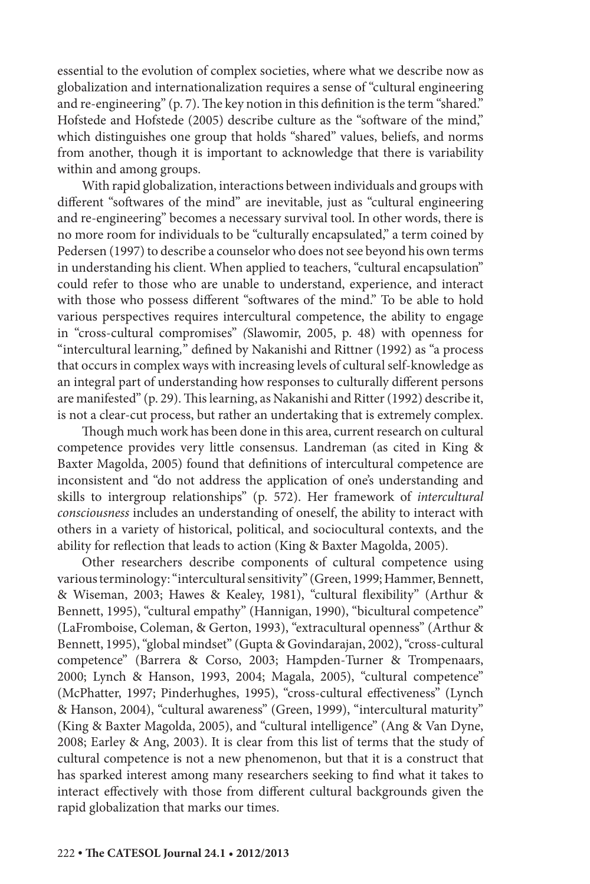essential to the evolution of complex societies, where what we describe now as globalization and internationalization requires a sense of "cultural engineering and re-engineering" (p. 7). The key notion in this definition is the term "shared." Hofstede and Hofstede (2005) describe culture as the "software of the mind," which distinguishes one group that holds "shared" values, beliefs, and norms from another, though it is important to acknowledge that there is variability within and among groups.

With rapid globalization, interactions between individuals and groups with different "softwares of the mind" are inevitable, just as "cultural engineering and re-engineering" becomes a necessary survival tool. In other words, there is no more room for individuals to be "culturally encapsulated," a term coined by Pedersen (1997) to describe a counselor who does not see beyond his own terms in understanding his client. When applied to teachers, "cultural encapsulation" could refer to those who are unable to understand, experience, and interact with those who possess different "softwares of the mind." To be able to hold various perspectives requires intercultural competence, the ability to engage in "cross-cultural compromises" *(*Slawomir, 2005, p. 48) with openness for "intercultural learning*,*" defined by Nakanishi and Rittner (1992) as "a process that occurs in complex ways with increasing levels of cultural self-knowledge as an integral part of understanding how responses to culturally different persons are manifested" (p. 29). This learning, as Nakanishi and Ritter(1992) describe it, is not a clear-cut process, but rather an undertaking that is extremely complex.

Though much work has been done in this area, current research on cultural competence provides very little consensus. Landreman (as cited in King & Baxter Magolda, 2005) found that definitions of intercultural competence are inconsistent and "do not address the application of one's understanding and skills to intergroup relationships" (p. 572). Her framework of *intercultural consciousness* includes an understanding of oneself, the ability to interact with others in a variety of historical, political, and sociocultural contexts, and the ability for reflection that leads to action (King & Baxter Magolda, 2005).

Other researchers describe components of cultural competence using various terminology: "intercultural sensitivity" (Green, 1999; Hammer, Bennett, & Wiseman, 2003; Hawes & Kealey, 1981), "cultural flexibility" (Arthur & Bennett, 1995), "cultural empathy" (Hannigan, 1990), "bicultural competence" (LaFromboise, Coleman, & Gerton, 1993), "extracultural openness" (Arthur & Bennett, 1995), "global mindset" (Gupta & Govindarajan, 2002), "cross-cultural competence" (Barrera & Corso, 2003; Hampden-Turner & Trompenaars, 2000; Lynch & Hanson, 1993, 2004; Magala, 2005), "cultural competence" (McPhatter, 1997; Pinderhughes, 1995), "cross-cultural effectiveness" (Lynch & Hanson, 2004), "cultural awareness" (Green, 1999), "intercultural maturity" (King & Baxter Magolda, 2005), and "cultural intelligence" (Ang & Van Dyne, 2008; Earley & Ang, 2003). It is clear from this list of terms that the study of cultural competence is not a new phenomenon, but that it is a construct that has sparked interest among many researchers seeking to find what it takes to interact effectively with those from different cultural backgrounds given the rapid globalization that marks our times.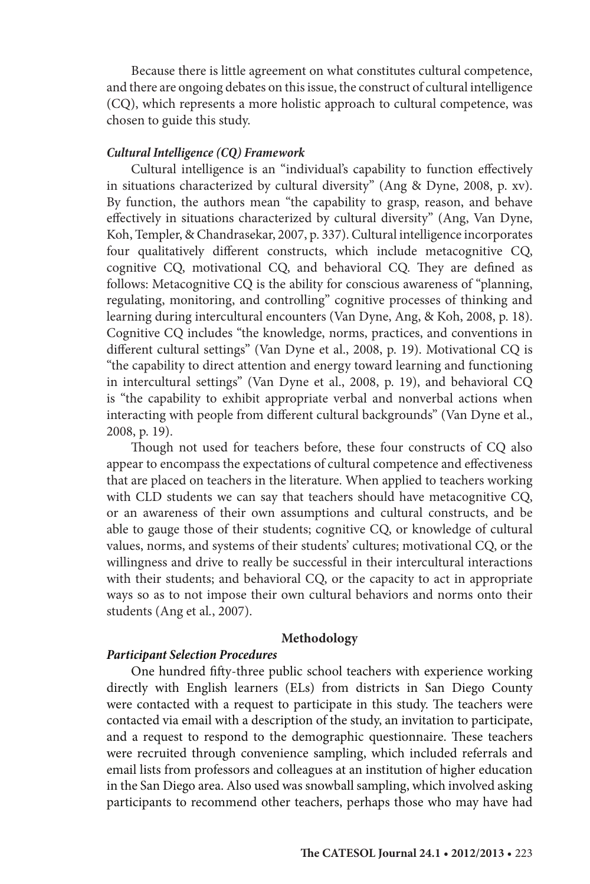Because there is little agreement on what constitutes cultural competence, and there are ongoing debates on this issue, the construct of cultural intelligence (CQ), which represents a more holistic approach to cultural competence, was chosen to guide this study.

#### *Cultural Intelligence (CQ) Framework*

Cultural intelligence is an "individual's capability to function effectively in situations characterized by cultural diversity" (Ang & Dyne, 2008, p. xv). By function, the authors mean "the capability to grasp, reason, and behave effectively in situations characterized by cultural diversity" (Ang, Van Dyne, Koh, Templer, & Chandrasekar, 2007, p. 337). Cultural intelligence incorporates four qualitatively different constructs, which include metacognitive CQ, cognitive CQ, motivational CQ, and behavioral CQ. They are defined as follows: Metacognitive CQ is the ability for conscious awareness of "planning, regulating, monitoring, and controlling" cognitive processes of thinking and learning during intercultural encounters (Van Dyne, Ang, & Koh, 2008, p. 18). Cognitive CQ includes "the knowledge, norms, practices, and conventions in different cultural settings" (Van Dyne et al., 2008, p. 19). Motivational CQ is "the capability to direct attention and energy toward learning and functioning in intercultural settings" (Van Dyne et al., 2008, p. 19), and behavioral CQ is "the capability to exhibit appropriate verbal and nonverbal actions when interacting with people from different cultural backgrounds" (Van Dyne et al., 2008, p. 19).

Though not used for teachers before, these four constructs of CQ also appear to encompass the expectations of cultural competence and effectiveness that are placed on teachers in the literature. When applied to teachers working with CLD students we can say that teachers should have metacognitive CQ, or an awareness of their own assumptions and cultural constructs, and be able to gauge those of their students; cognitive CQ, or knowledge of cultural values, norms, and systems of their students' cultures; motivational CQ, or the willingness and drive to really be successful in their intercultural interactions with their students; and behavioral CQ, or the capacity to act in appropriate ways so as to not impose their own cultural behaviors and norms onto their students (Ang et al*.*, 2007).

#### **Methodology**

#### *Participant Selection Procedures*

One hundred fifty-three public school teachers with experience working directly with English learners (ELs) from districts in San Diego County were contacted with a request to participate in this study. The teachers were contacted via email with a description of the study, an invitation to participate, and a request to respond to the demographic questionnaire. These teachers were recruited through convenience sampling, which included referrals and email lists from professors and colleagues at an institution of higher education in the San Diego area. Also used was snowball sampling, which involved asking participants to recommend other teachers, perhaps those who may have had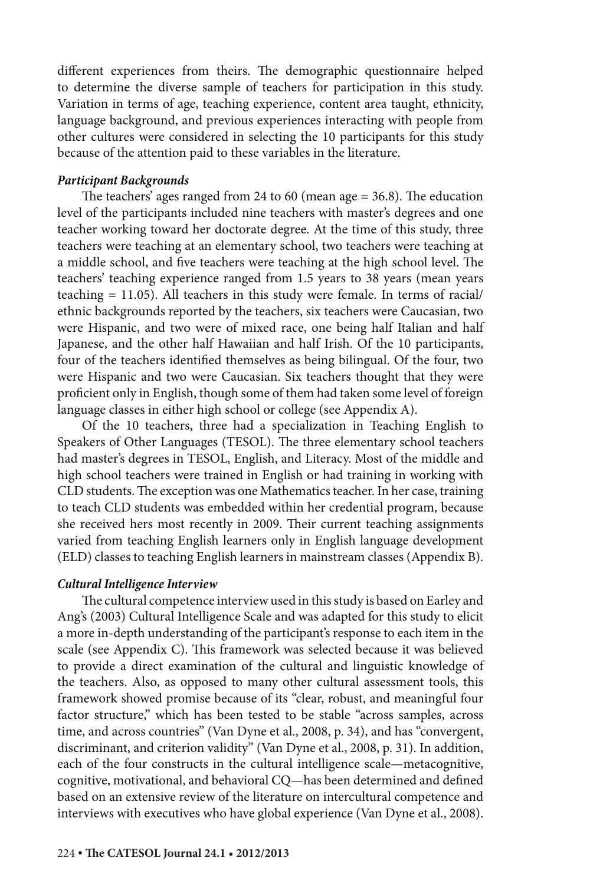different experiences from theirs. The demographic questionnaire helped to determine the diverse sample of teachers for participation in this study. Variation in terms of age, teaching experience, content area taught, ethnicity, language background, and previous experiences interacting with people from other cultures were considered in selecting the 10 participants for this study because of the attention paid to these variables in the literature.

#### *Participant Backgrounds*

The teachers' ages ranged from 24 to 60 (mean age  $=$  36.8). The education level of the participants included nine teachers with master's degrees and one teacher working toward her doctorate degree. At the time of this study, three teachers were teaching at an elementary school, two teachers were teaching at a middle school, and five teachers were teaching at the high school level. The teachers' teaching experience ranged from 1.5 years to 38 years (mean years teaching  $= 11.05$ ). All teachers in this study were female. In terms of racial/ ethnic backgrounds reported by the teachers, six teachers were Caucasian, two were Hispanic, and two were of mixed race, one being half Italian and half Japanese, and the other half Hawaiian and half Irish. Of the 10 participants, four of the teachers identified themselves as being bilingual. Of the four, two were Hispanic and two were Caucasian. Six teachers thought that they were proficient only in English, though some of them had taken some level of foreign language classes in either high school or college (see Appendix A).

Of the 10 teachers, three had a specialization in Teaching English to Speakers of Other Languages (TESOL). The three elementary school teachers had master's degrees in TESOL, English, and Literacy. Most of the middle and high school teachers were trained in English or had training in working with CLD students. The exception was one Mathematics teacher. In her case, training to teach CLD students was embedded within her credential program, because she received hers most recently in 2009. Their current teaching assignments varied from teaching English learners only in English language development (ELD) classes to teaching English learners in mainstream classes (Appendix B).

#### *Cultural Intelligence Interview*

The cultural competence interview used in this study is based on Earley and Ang's (2003) Cultural Intelligence Scale and was adapted for this study to elicit a more in-depth understanding of the participant's response to each item in the scale (see Appendix C). This framework was selected because it was believed to provide a direct examination of the cultural and linguistic knowledge of the teachers. Also, as opposed to many other cultural assessment tools, this framework showed promise because of its "clear, robust, and meaningful four factor structure," which has been tested to be stable "across samples, across time, and across countries" (Van Dyne et al., 2008, p. 34), and has "convergent, discriminant, and criterion validity" (Van Dyne et al., 2008, p. 31). In addition, each of the four constructs in the cultural intelligence scale—metacognitive, cognitive, motivational, and behavioral CQ—has been determined and defined based on an extensive review of the literature on intercultural competence and interviews with executives who have global experience (Van Dyne et al., 2008).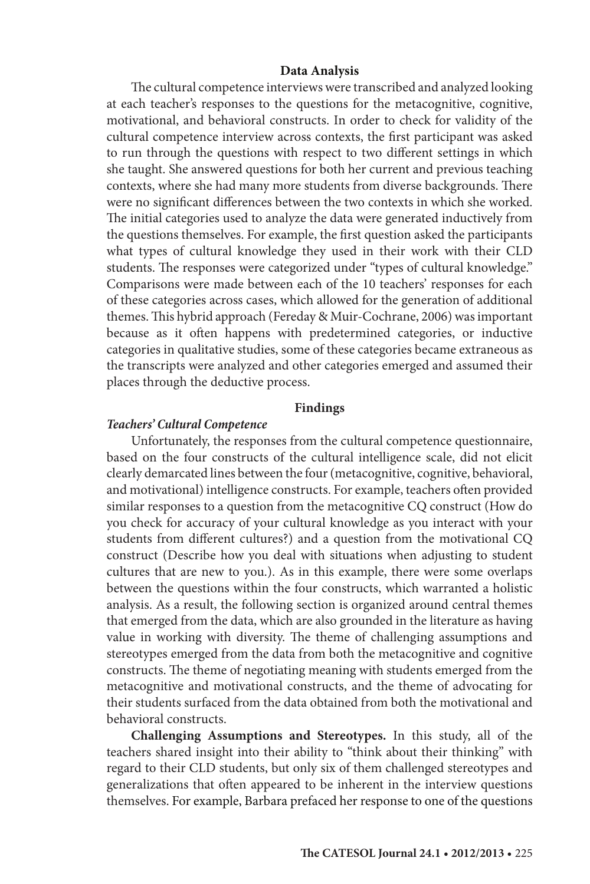#### **Data Analysis**

The cultural competence interviews were transcribed and analyzed looking at each teacher's responses to the questions for the metacognitive, cognitive, motivational, and behavioral constructs. In order to check for validity of the cultural competence interview across contexts, the first participant was asked to run through the questions with respect to two different settings in which she taught. She answered questions for both her current and previous teaching contexts, where she had many more students from diverse backgrounds. There were no significant differences between the two contexts in which she worked. The initial categories used to analyze the data were generated inductively from the questions themselves. For example, the first question asked the participants what types of cultural knowledge they used in their work with their CLD students. The responses were categorized under "types of cultural knowledge." Comparisons were made between each of the 10 teachers' responses for each of these categories across cases, which allowed for the generation of additional themes. This hybrid approach (Fereday & Muir-Cochrane, 2006) was important because as it often happens with predetermined categories, or inductive categories in qualitative studies, some of these categories became extraneous as the transcripts were analyzed and other categories emerged and assumed their places through the deductive process.

#### **Findings**

#### *Teachers' Cultural Competence*

Unfortunately, the responses from the cultural competence questionnaire, based on the four constructs of the cultural intelligence scale, did not elicit clearly demarcated lines between the four (metacognitive, cognitive, behavioral, and motivational) intelligence constructs. For example, teachers often provided similar responses to a question from the metacognitive CQ construct (How do you check for accuracy of your cultural knowledge as you interact with your students from different cultures?) and a question from the motivational CQ construct (Describe how you deal with situations when adjusting to student cultures that are new to you.). As in this example, there were some overlaps between the questions within the four constructs, which warranted a holistic analysis. As a result, the following section is organized around central themes that emerged from the data, which are also grounded in the literature as having value in working with diversity. The theme of challenging assumptions and stereotypes emerged from the data from both the metacognitive and cognitive constructs. The theme of negotiating meaning with students emerged from the metacognitive and motivational constructs, and the theme of advocating for their students surfaced from the data obtained from both the motivational and behavioral constructs.

**Challenging Assumptions and Stereotypes.** In this study, all of the teachers shared insight into their ability to "think about their thinking" with regard to their CLD students, but only six of them challenged stereotypes and generalizations that often appeared to be inherent in the interview questions themselves. For example, Barbara prefaced her response to one of the questions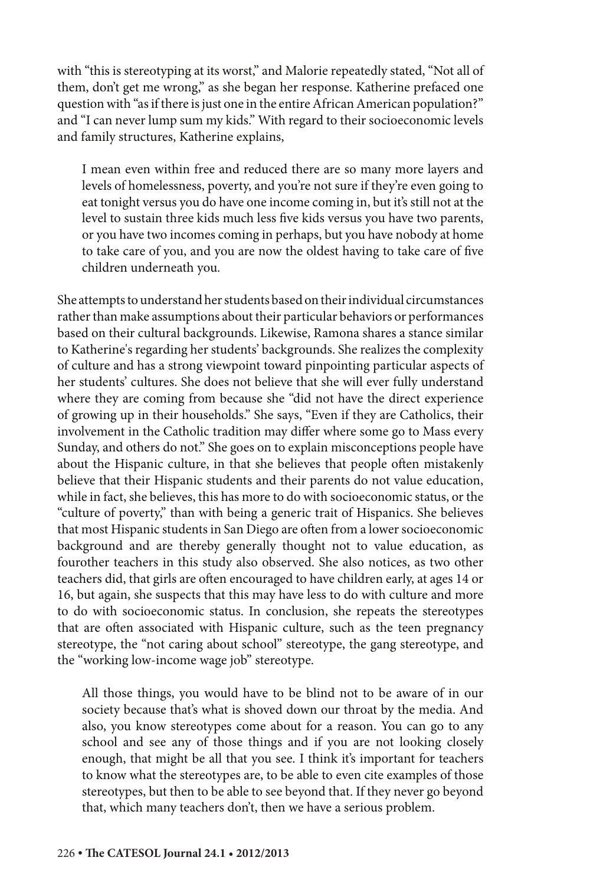with "this is stereotyping at its worst," and Malorie repeatedly stated, "Not all of them, don't get me wrong," as she began her response. Katherine prefaced one question with "as if there is just one in the entire African American population?" and "I can never lump sum my kids." With regard to their socioeconomic levels and family structures, Katherine explains,

I mean even within free and reduced there are so many more layers and levels of homelessness, poverty, and you're not sure if they're even going to eat tonight versus you do have one income coming in, but it's still not at the level to sustain three kids much less five kids versus you have two parents, or you have two incomes coming in perhaps, but you have nobody at home to take care of you, and you are now the oldest having to take care of five children underneath you.

She attempts to understand her students based on their individual circumstances rather than make assumptions about their particular behaviors or performances based on their cultural backgrounds. Likewise, Ramona shares a stance similar to Katherine's regarding her students' backgrounds. She realizes the complexity of culture and has a strong viewpoint toward pinpointing particular aspects of her students' cultures. She does not believe that she will ever fully understand where they are coming from because she "did not have the direct experience of growing up in their households." She says, "Even if they are Catholics, their involvement in the Catholic tradition may differ where some go to Mass every Sunday, and others do not." She goes on to explain misconceptions people have about the Hispanic culture, in that she believes that people often mistakenly believe that their Hispanic students and their parents do not value education, while in fact, she believes, this has more to do with socioeconomic status, or the "culture of poverty," than with being a generic trait of Hispanics. She believes that most Hispanic students in San Diego are often from a lower socioeconomic background and are thereby generally thought not to value education, as fourother teachers in this study also observed. She also notices, as two other teachers did, that girls are often encouraged to have children early, at ages 14 or 16, but again, she suspects that this may have less to do with culture and more to do with socioeconomic status. In conclusion, she repeats the stereotypes that are often associated with Hispanic culture, such as the teen pregnancy stereotype, the "not caring about school" stereotype, the gang stereotype, and the "working low-income wage job" stereotype.

All those things, you would have to be blind not to be aware of in our society because that's what is shoved down our throat by the media. And also, you know stereotypes come about for a reason. You can go to any school and see any of those things and if you are not looking closely enough, that might be all that you see. I think it's important for teachers to know what the stereotypes are, to be able to even cite examples of those stereotypes, but then to be able to see beyond that. If they never go beyond that, which many teachers don't, then we have a serious problem.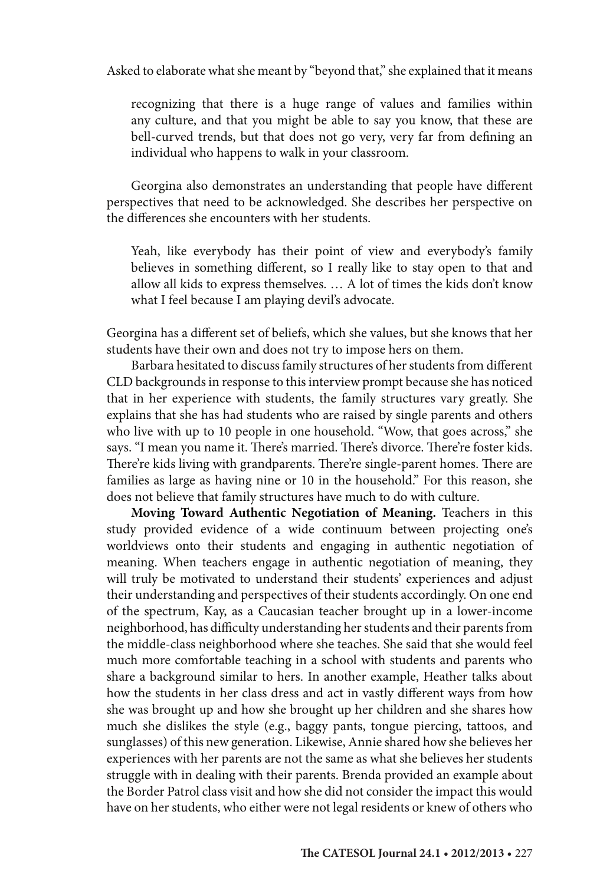Asked to elaborate what she meant by "beyond that," she explained that it means

recognizing that there is a huge range of values and families within any culture, and that you might be able to say you know, that these are bell-curved trends, but that does not go very, very far from defining an individual who happens to walk in your classroom.

Georgina also demonstrates an understanding that people have different perspectives that need to be acknowledged. She describes her perspective on the differences she encounters with her students.

Yeah, like everybody has their point of view and everybody's family believes in something different, so I really like to stay open to that and allow all kids to express themselves. … A lot of times the kids don't know what I feel because I am playing devil's advocate.

Georgina has a different set of beliefs, which she values, but she knows that her students have their own and does not try to impose hers on them.

Barbara hesitated to discuss family structures of her students from different CLD backgrounds in response to this interview prompt because she has noticed that in her experience with students, the family structures vary greatly. She explains that she has had students who are raised by single parents and others who live with up to 10 people in one household. "Wow, that goes across," she says. "I mean you name it. There's married. There's divorce. There're foster kids. There're kids living with grandparents. There're single-parent homes. There are families as large as having nine or 10 in the household." For this reason, she does not believe that family structures have much to do with culture.

**Moving Toward Authentic Negotiation of Meaning.** Teachers in this study provided evidence of a wide continuum between projecting one's worldviews onto their students and engaging in authentic negotiation of meaning. When teachers engage in authentic negotiation of meaning, they will truly be motivated to understand their students' experiences and adjust their understanding and perspectives of their students accordingly. On one end of the spectrum, Kay, as a Caucasian teacher brought up in a lower-income neighborhood, has difficulty understanding her students and their parents from the middle-class neighborhood where she teaches. She said that she would feel much more comfortable teaching in a school with students and parents who share a background similar to hers. In another example, Heather talks about how the students in her class dress and act in vastly different ways from how she was brought up and how she brought up her children and she shares how much she dislikes the style (e.g., baggy pants, tongue piercing, tattoos, and sunglasses) of this new generation. Likewise, Annie shared how she believes her experiences with her parents are not the same as what she believes her students struggle with in dealing with their parents. Brenda provided an example about the Border Patrol class visit and how she did not consider the impact this would have on her students, who either were not legal residents or knew of others who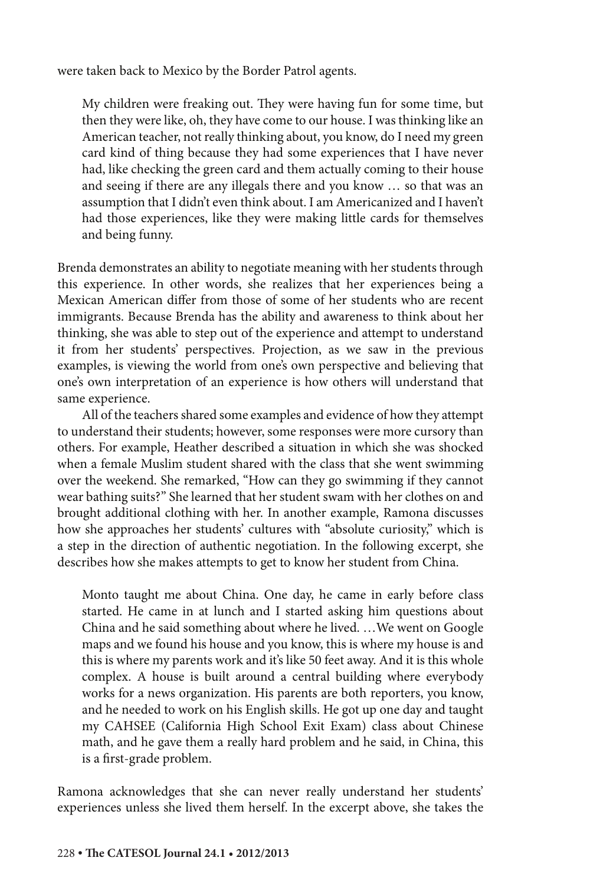were taken back to Mexico by the Border Patrol agents.

My children were freaking out. They were having fun for some time, but then they were like, oh, they have come to our house. I was thinking like an American teacher, not really thinking about, you know, do I need my green card kind of thing because they had some experiences that I have never had, like checking the green card and them actually coming to their house and seeing if there are any illegals there and you know … so that was an assumption that I didn't even think about. I am Americanized and I haven't had those experiences, like they were making little cards for themselves and being funny.

Brenda demonstrates an ability to negotiate meaning with her students through this experience. In other words, she realizes that her experiences being a Mexican American differ from those of some of her students who are recent immigrants. Because Brenda has the ability and awareness to think about her thinking, she was able to step out of the experience and attempt to understand it from her students' perspectives. Projection, as we saw in the previous examples, is viewing the world from one's own perspective and believing that one's own interpretation of an experience is how others will understand that same experience.

All of the teachers shared some examples and evidence of how they attempt to understand their students; however, some responses were more cursory than others. For example, Heather described a situation in which she was shocked when a female Muslim student shared with the class that she went swimming over the weekend. She remarked, "How can they go swimming if they cannot wear bathing suits?" She learned that her student swam with her clothes on and brought additional clothing with her. In another example, Ramona discusses how she approaches her students' cultures with "absolute curiosity," which is a step in the direction of authentic negotiation. In the following excerpt, she describes how she makes attempts to get to know her student from China.

Monto taught me about China. One day, he came in early before class started. He came in at lunch and I started asking him questions about China and he said something about where he lived. …We went on Google maps and we found his house and you know, this is where my house is and this is where my parents work and it's like 50 feet away. And it is this whole complex. A house is built around a central building where everybody works for a news organization. His parents are both reporters, you know, and he needed to work on his English skills. He got up one day and taught my CAHSEE (California High School Exit Exam) class about Chinese math, and he gave them a really hard problem and he said, in China, this is a first-grade problem.

Ramona acknowledges that she can never really understand her students' experiences unless she lived them herself. In the excerpt above, she takes the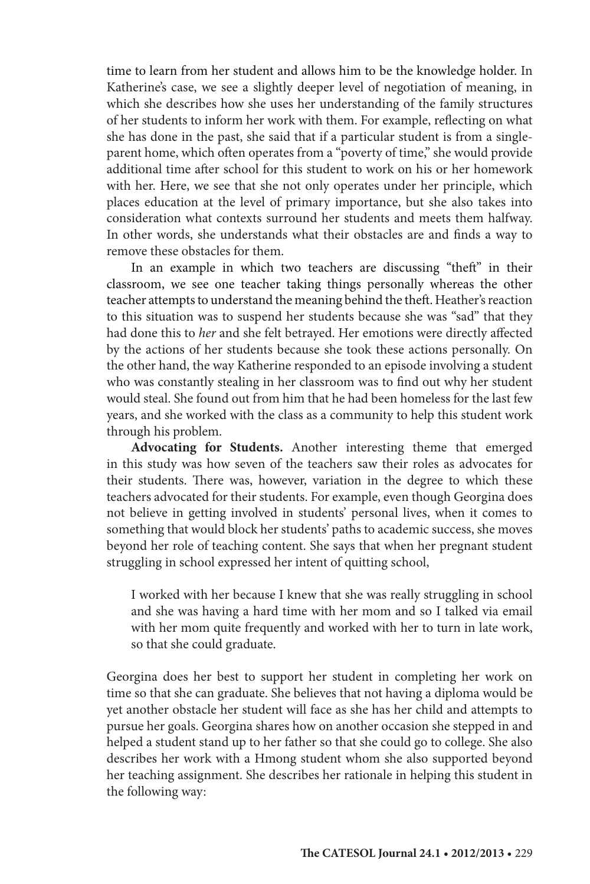time to learn from her student and allows him to be the knowledge holder. In Katherine's case, we see a slightly deeper level of negotiation of meaning, in which she describes how she uses her understanding of the family structures of her students to inform her work with them. For example, reflecting on what she has done in the past, she said that if a particular student is from a singleparent home, which often operates from a "poverty of time," she would provide additional time after school for this student to work on his or her homework with her. Here, we see that she not only operates under her principle, which places education at the level of primary importance, but she also takes into consideration what contexts surround her students and meets them halfway. In other words, she understands what their obstacles are and finds a way to remove these obstacles for them.

In an example in which two teachers are discussing "theft" in their classroom, we see one teacher taking things personally whereas the other teacher attempts to understand the meaning behind the theft. Heather's reaction to this situation was to suspend her students because she was "sad" that they had done this to *her* and she felt betrayed. Her emotions were directly affected by the actions of her students because she took these actions personally. On the other hand, the way Katherine responded to an episode involving a student who was constantly stealing in her classroom was to find out why her student would steal. She found out from him that he had been homeless for the last few years, and she worked with the class as a community to help this student work through his problem.

**Advocating for Students.** Another interesting theme that emerged in this study was how seven of the teachers saw their roles as advocates for their students. There was, however, variation in the degree to which these teachers advocated for their students. For example, even though Georgina does not believe in getting involved in students' personal lives, when it comes to something that would block her students' paths to academic success, she moves beyond her role of teaching content. She says that when her pregnant student struggling in school expressed her intent of quitting school,

I worked with her because I knew that she was really struggling in school and she was having a hard time with her mom and so I talked via email with her mom quite frequently and worked with her to turn in late work, so that she could graduate.

Georgina does her best to support her student in completing her work on time so that she can graduate. She believes that not having a diploma would be yet another obstacle her student will face as she has her child and attempts to pursue her goals. Georgina shares how on another occasion she stepped in and helped a student stand up to her father so that she could go to college. She also describes her work with a Hmong student whom she also supported beyond her teaching assignment. She describes her rationale in helping this student in the following way: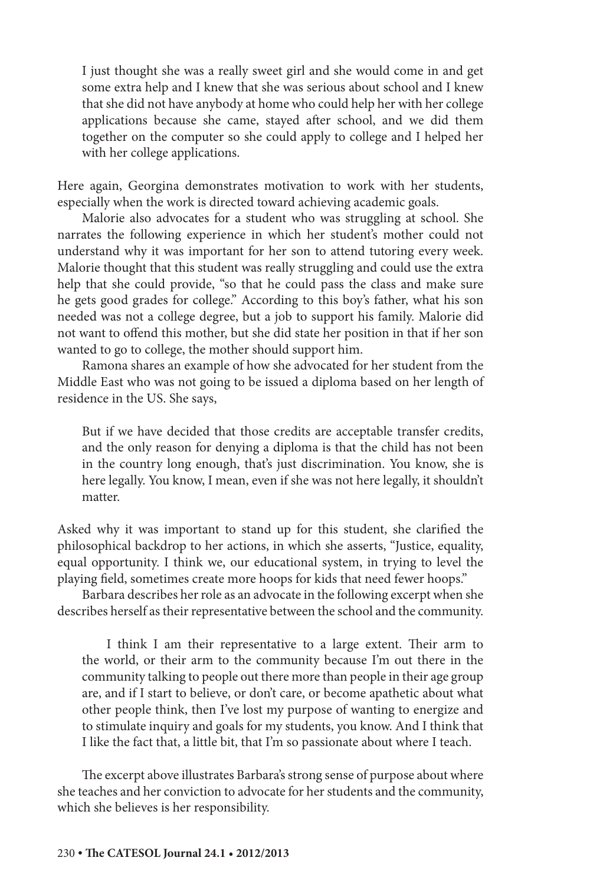I just thought she was a really sweet girl and she would come in and get some extra help and I knew that she was serious about school and I knew that she did not have anybody at home who could help her with her college applications because she came, stayed after school, and we did them together on the computer so she could apply to college and I helped her with her college applications.

Here again, Georgina demonstrates motivation to work with her students, especially when the work is directed toward achieving academic goals.

Malorie also advocates for a student who was struggling at school. She narrates the following experience in which her student's mother could not understand why it was important for her son to attend tutoring every week. Malorie thought that this student was really struggling and could use the extra help that she could provide, "so that he could pass the class and make sure he gets good grades for college." According to this boy's father, what his son needed was not a college degree, but a job to support his family. Malorie did not want to offend this mother, but she did state her position in that if her son wanted to go to college, the mother should support him.

Ramona shares an example of how she advocated for her student from the Middle East who was not going to be issued a diploma based on her length of residence in the US. She says,

But if we have decided that those credits are acceptable transfer credits, and the only reason for denying a diploma is that the child has not been in the country long enough, that's just discrimination. You know, she is here legally. You know, I mean, even if she was not here legally, it shouldn't matter.

Asked why it was important to stand up for this student, she clarified the philosophical backdrop to her actions, in which she asserts, "Justice, equality, equal opportunity. I think we, our educational system, in trying to level the playing field, sometimes create more hoops for kids that need fewer hoops."

Barbara describes her role as an advocate in the following excerpt when she describes herself as their representative between the school and the community.

I think I am their representative to a large extent. Their arm to the world, or their arm to the community because I'm out there in the community talking to people out there more than people in their age group are, and if I start to believe, or don't care, or become apathetic about what other people think, then I've lost my purpose of wanting to energize and to stimulate inquiry and goals for my students, you know. And I think that I like the fact that, a little bit, that I'm so passionate about where I teach.

The excerpt above illustrates Barbara's strong sense of purpose about where she teaches and her conviction to advocate for her students and the community, which she believes is her responsibility.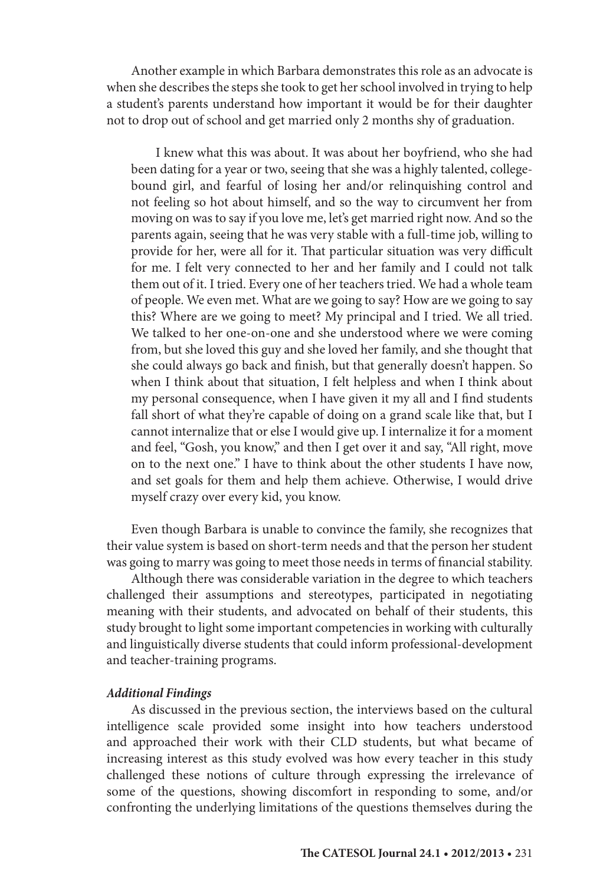Another example in which Barbara demonstrates this role as an advocate is when she describes the steps she took to get her school involved in trying to help a student's parents understand how important it would be for their daughter not to drop out of school and get married only 2 months shy of graduation.

I knew what this was about. It was about her boyfriend, who she had been dating for a year or two, seeing that she was a highly talented, collegebound girl, and fearful of losing her and/or relinquishing control and not feeling so hot about himself, and so the way to circumvent her from moving on was to say if you love me, let's get married right now. And so the parents again, seeing that he was very stable with a full-time job, willing to provide for her, were all for it. That particular situation was very difficult for me. I felt very connected to her and her family and I could not talk them out of it. I tried. Every one of her teachers tried. We had a whole team of people. We even met. What are we going to say? How are we going to say this? Where are we going to meet? My principal and I tried. We all tried. We talked to her one-on-one and she understood where we were coming from, but she loved this guy and she loved her family, and she thought that she could always go back and finish, but that generally doesn't happen. So when I think about that situation, I felt helpless and when I think about my personal consequence, when I have given it my all and I find students fall short of what they're capable of doing on a grand scale like that, but I cannot internalize that or else I would give up. I internalize it for a moment and feel, "Gosh, you know," and then I get over it and say, "All right, move on to the next one." I have to think about the other students I have now, and set goals for them and help them achieve. Otherwise, I would drive myself crazy over every kid, you know.

Even though Barbara is unable to convince the family, she recognizes that their value system is based on short-term needs and that the person her student was going to marry was going to meet those needs in terms of financial stability.

Although there was considerable variation in the degree to which teachers challenged their assumptions and stereotypes, participated in negotiating meaning with their students, and advocated on behalf of their students, this study brought to light some important competencies in working with culturally and linguistically diverse students that could inform professional-development and teacher-training programs.

#### *Additional Findings*

As discussed in the previous section, the interviews based on the cultural intelligence scale provided some insight into how teachers understood and approached their work with their CLD students, but what became of increasing interest as this study evolved was how every teacher in this study challenged these notions of culture through expressing the irrelevance of some of the questions, showing discomfort in responding to some, and/or confronting the underlying limitations of the questions themselves during the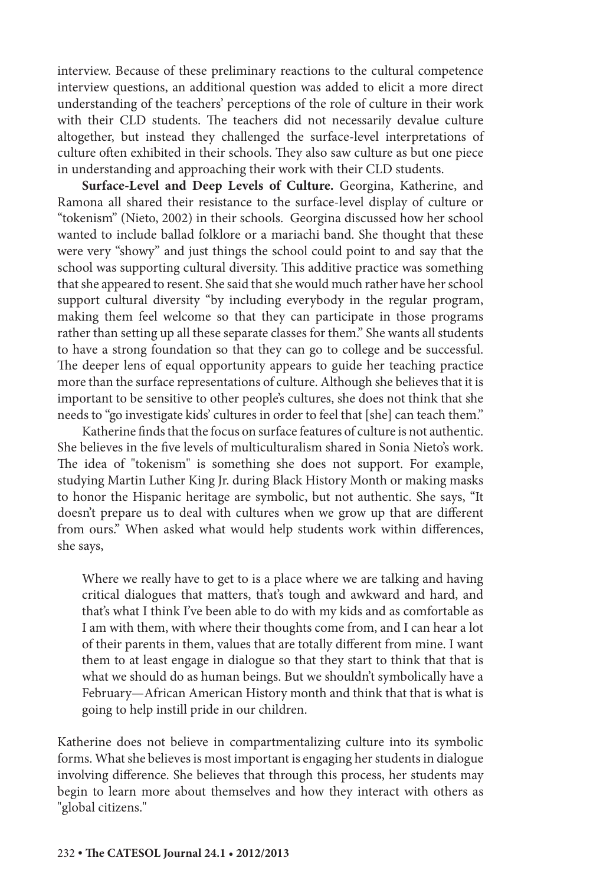interview. Because of these preliminary reactions to the cultural competence interview questions, an additional question was added to elicit a more direct understanding of the teachers' perceptions of the role of culture in their work with their CLD students. The teachers did not necessarily devalue culture altogether, but instead they challenged the surface-level interpretations of culture often exhibited in their schools. They also saw culture as but one piece in understanding and approaching their work with their CLD students.

Surface-Level and Deep Levels of Culture. Georgina, Katherine, and Ramona all shared their resistance to the surface-level display of culture or "tokenism" (Nieto, 2002) in their schools. Georgina discussed how her school wanted to include ballad folklore or a mariachi band. She thought that these were very "showy" and just things the school could point to and say that the school was supporting cultural diversity. This additive practice was something that she appeared to resent. She said that she would much rather have her school support cultural diversity "by including everybody in the regular program, making them feel welcome so that they can participate in those programs rather than setting up all these separate classes for them." She wants all students to have a strong foundation so that they can go to college and be successful. The deeper lens of equal opportunity appears to guide her teaching practice more than the surface representations of culture. Although she believes that it is important to be sensitive to other people's cultures, she does not think that she needs to "go investigate kids' cultures in order to feel that [she] can teach them."

Katherine finds that the focus on surface features of culture is not authentic. She believes in the five levels of multiculturalism shared in Sonia Nieto's work. The idea of "tokenism" is something she does not support. For example, studying Martin Luther King Jr. during Black History Month or making masks to honor the Hispanic heritage are symbolic, but not authentic. She says, "It doesn't prepare us to deal with cultures when we grow up that are different from ours." When asked what would help students work within differences, she says,

Where we really have to get to is a place where we are talking and having critical dialogues that matters, that's tough and awkward and hard, and that's what I think I've been able to do with my kids and as comfortable as I am with them, with where their thoughts come from, and I can hear a lot of their parents in them, values that are totally different from mine. I want them to at least engage in dialogue so that they start to think that that is what we should do as human beings. But we shouldn't symbolically have a February-African American History month and think that that is what is going to help instill pride in our children.

Katherine does not believe in compartmentalizing culture into its symbolic forms. What she believes is most important is engaging her students in dialogue involving difference. She believes that through this process, her students may begin to learn more about themselves and how they interact with others as "global citizens."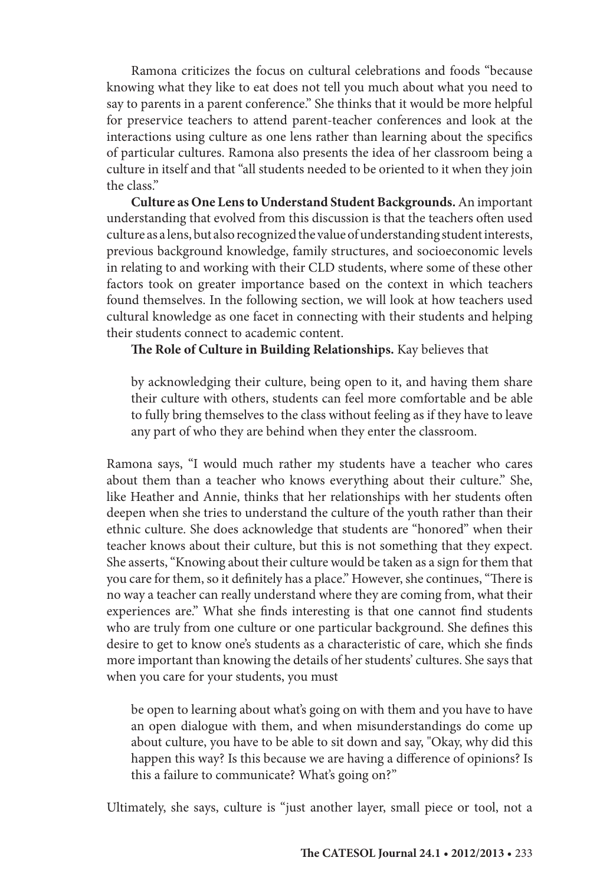Ramona criticizes the focus on cultural celebrations and foods "because knowing what they like to eat does not tell you much about what you need to say to parents in a parent conference." She thinks that it would be more helpful for preservice teachers to attend parent-teacher conferences and look at the interactions using culture as one lens rather than learning about the specifics of particular cultures. Ramona also presents the idea of her classroom being a culture in itself and that "all students needed to be oriented to it when they join the class."

**Culture as One Lens to Understand Student Backgrounds.** An important understanding that evolved from this discussion is that the teachers often used culture as a lens, but also recognized the value of understanding student interests, previous background knowledge, family structures, and socioeconomic levels in relating to and working with their CLD students, where some of these other factors took on greater importance based on the context in which teachers found themselves. In the following section, we will look at how teachers used cultural knowledge as one facet in connecting with their students and helping their students connect to academic content.

#### **The Role of Culture in Building Relationships.** Kay believes that

by acknowledging their culture, being open to it, and having them share their culture with others, students can feel more comfortable and be able to fully bring themselves to the class without feeling as if they have to leave any part of who they are behind when they enter the classroom.

Ramona says, "I would much rather my students have a teacher who cares about them than a teacher who knows everything about their culture." She, like Heather and Annie, thinks that her relationships with her students often deepen when she tries to understand the culture of the youth rather than their ethnic culture. She does acknowledge that students are "honored" when their teacher knows about their culture, but this is not something that they expect. She asserts, "Knowing about their culture would be taken as a sign for them that you care for them, so it definitely has a place." However, she continues, "There is no way a teacher can really understand where they are coming from, what their experiences are." What she finds interesting is that one cannot find students who are truly from one culture or one particular background. She defines this desire to get to know one's students as a characteristic of care, which she finds more important than knowing the details of her students' cultures. She says that when you care for your students, you must

be open to learning about what's going on with them and you have to have an open dialogue with them, and when misunderstandings do come up about culture, you have to be able to sit down and say, "Okay, why did this happen this way? Is this because we are having a difference of opinions? Is this a failure to communicate? What's going on?"

Ultimately, she says, culture is "just another layer, small piece or tool, not a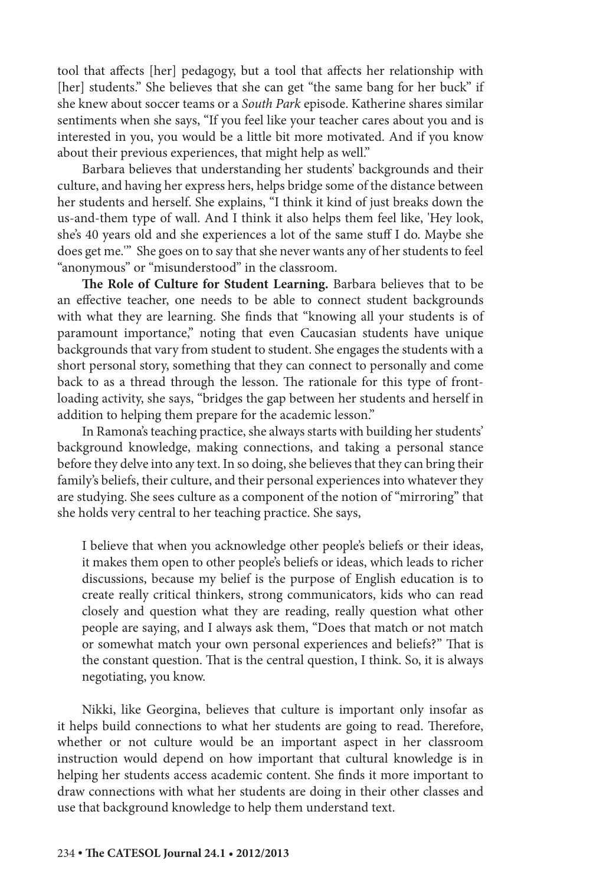tool that affects [her] pedagogy, but a tool that affects her relationship with [her] students." She believes that she can get "the same bang for her buck" if she knew about soccer teams or a *South Park* episode. Katherine shares similar sentiments when she says, "If you feel like your teacher cares about you and is interested in you, you would be a little bit more motivated. And if you know about their previous experiences, that might help as well."

Barbara believes that understanding her students' backgrounds and their culture, and having her express hers, helps bridge some of the distance between her students and herself. She explains, "I think it kind of just breaks down the us-and-them type of wall. And I think it also helps them feel like, 'Hey look, she's 40 years old and she experiences a lot of the same stuff I do. Maybe she does get me.'" She goes on to say that she never wants any of her students to feel "anonymous" or "misunderstood" in the classroom.

**The Role of Culture for Student Learning.** Barbara believes that to be an effective teacher, one needs to be able to connect student backgrounds with what they are learning. She finds that "knowing all your students is of paramount importance," noting that even Caucasian students have unique backgrounds that vary from student to student. She engages the students with a short personal story, something that they can connect to personally and come back to as a thread through the lesson. The rationale for this type of frontloading activity, she says, "bridges the gap between her students and herself in addition to helping them prepare for the academic lesson."

In Ramona's teaching practice, she always starts with building her students' background knowledge, making connections, and taking a personal stance before they delve into any text. In so doing, she believes that they can bring their family's beliefs, their culture, and their personal experiences into whatever they are studying. She sees culture as a component of the notion of "mirroring" that she holds very central to her teaching practice. She says,

I believe that when you acknowledge other people's beliefs or their ideas, it makes them open to other people's beliefs or ideas, which leads to richer discussions, because my belief is the purpose of English education is to create really critical thinkers, strong communicators, kids who can read closely and question what they are reading, really question what other people are saying, and I always ask them, "Does that match or not match or somewhat match your own personal experiences and beliefs?" That is the constant question. That is the central question, I think. So, it is always negotiating, you know.

Nikki, like Georgina, believes that culture is important only insofar as it helps build connections to what her students are going to read. Therefore, whether or not culture would be an important aspect in her classroom instruction would depend on how important that cultural knowledge is in helping her students access academic content. She finds it more important to draw connections with what her students are doing in their other classes and use that background knowledge to help them understand text.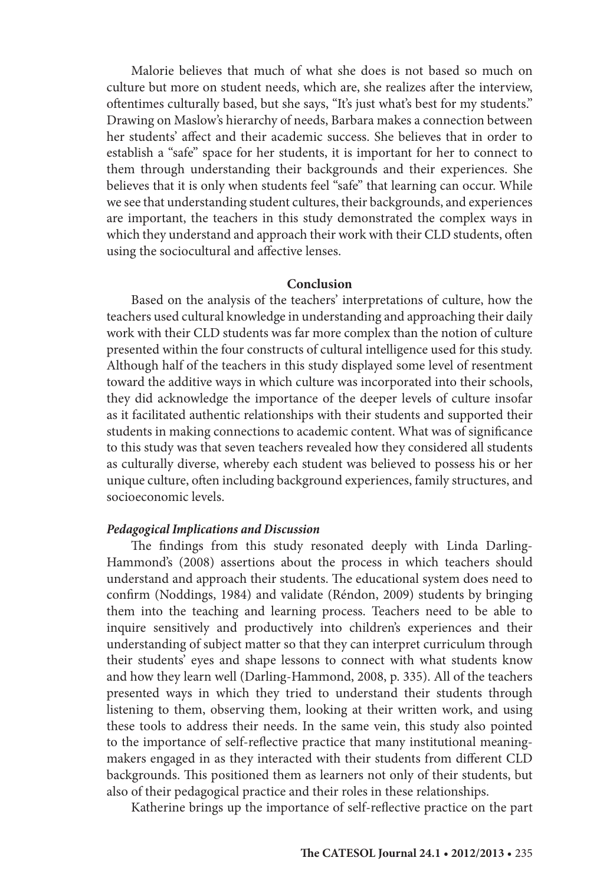Malorie believes that much of what she does is not based so much on culture but more on student needs, which are, she realizes after the interview, oftentimes culturally based, but she says, "It's just what's best for my students." Drawing on Maslow's hierarchy of needs, Barbara makes a connection between her students' affect and their academic success. She believes that in order to establish a "safe" space for her students, it is important for her to connect to them through understanding their backgrounds and their experiences. She believes that it is only when students feel "safe" that learning can occur. While we see that understanding student cultures, their backgrounds, and experiences are important, the teachers in this study demonstrated the complex ways in which they understand and approach their work with their CLD students, often using the sociocultural and affective lenses.

#### **Conclusion**

Based on the analysis of the teachers' interpretations of culture, how the teachers used cultural knowledge in understanding and approaching their daily work with their CLD students was far more complex than the notion of culture presented within the four constructs of cultural intelligence used for this study. Although half of the teachers in this study displayed some level of resentment toward the additive ways in which culture was incorporated into their schools, they did acknowledge the importance of the deeper levels of culture insofar as it facilitated authentic relationships with their students and supported their students in making connections to academic content. What was of significance to this study was that seven teachers revealed how they considered all students as culturally diverse, whereby each student was believed to possess his or her unique culture, often including background experiences, family structures, and socioeconomic levels.

#### *Pedagogical Implications and Discussion*

The findings from this study resonated deeply with Linda Darling-Hammond's (2008) assertions about the process in which teachers should understand and approach their students. The educational system does need to confirm (Noddings, 1984) and validate (Réndon, 2009) students by bringing them into the teaching and learning process. Teachers need to be able to inquire sensitively and productively into children's experiences and their understanding of subject matter so that they can interpret curriculum through their students' eyes and shape lessons to connect with what students know and how they learn well (Darling-Hammond, 2008, p. 335). All of the teachers presented ways in which they tried to understand their students through listening to them, observing them, looking at their written work, and using these tools to address their needs. In the same vein, this study also pointed to the importance of self-reflective practice that many institutional meaningmakers engaged in as they interacted with their students from different CLD backgrounds. This positioned them as learners not only of their students, but also of their pedagogical practice and their roles in these relationships.

Katherine brings up the importance of self-reflective practice on the part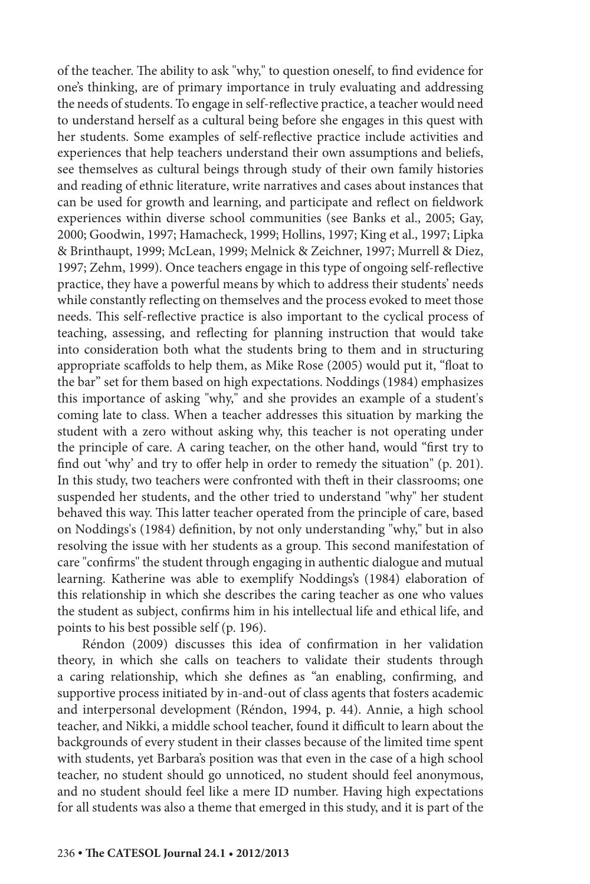of the teacher. The ability to ask "why," to question oneself, to find evidence for one's thinking, are of primary importance in truly evaluating and addressing the needs of students. To engage in self-reflective practice, a teacher would need to understand herself as a cultural being before she engages in this quest with her students. Some examples of self-reflective practice include activities and experiences that help teachers understand their own assumptions and beliefs, see themselves as cultural beings through study of their own family histories and reading of ethnic literature, write narratives and cases about instances that can be used for growth and learning, and participate and reflect on fieldwork experiences within diverse school communities (see Banks et al., 2005; Gay, 2000; Goodwin, 1997; Hamacheck, 1999; Hollins, 1997; King et al., 1997; Lipka & Brinthaupt, 1999; McLean, 1999; Melnick & Zeichner, 1997; Murrell & Diez, 1997; Zehm, 1999). Once teachers engage in this type of ongoing self-reflective practice, they have a powerful means by which to address their students' needs while constantly reflecting on themselves and the process evoked to meet those needs. This self-reflective practice is also important to the cyclical process of teaching, assessing, and reflecting for planning instruction that would take into consideration both what the students bring to them and in structuring appropriate scaffolds to help them, as Mike Rose (2005) would put it, "float to the bar" set for them based on high expectations. Noddings (1984) emphasizes this importance of asking "why," and she provides an example of a student's coming late to class. When a teacher addresses this situation by marking the student with a zero without asking why, this teacher is not operating under the principle of care. A caring teacher, on the other hand, would "first try to find out 'why' and try to offer help in order to remedy the situation" (p. 201). In this study, two teachers were confronted with theft in their classrooms; one suspended her students, and the other tried to understand "why" her student behaved this way. This latter teacher operated from the principle of care, based on Noddings's (1984) definition, by not only understanding "why," but in also resolving the issue with her students as a group. This second manifestation of care "confirms" the student through engaging in authentic dialogue and mutual learning. Katherine was able to exemplify Noddings's (1984) elaboration of this relationship in which she describes the caring teacher as one who values the student as subject, confirms him in his intellectual life and ethical life, and points to his best possible self (p. 196).

Réndon (2009) discusses this idea of confirmation in her validation theory, in which she calls on teachers to validate their students through a caring relationship, which she defines as "an enabling, confirming, and supportive process initiated by in-and-out of class agents that fosters academic and interpersonal development (Réndon, 1994, p. 44). Annie, a high school teacher, and Nikki, a middle school teacher, found it difficult to learn about the backgrounds of every student in their classes because of the limited time spent with students, yet Barbara's position was that even in the case of a high school teacher, no student should go unnoticed, no student should feel anonymous, and no student should feel like a mere ID number. Having high expectations for all students was also a theme that emerged in this study, and it is part of the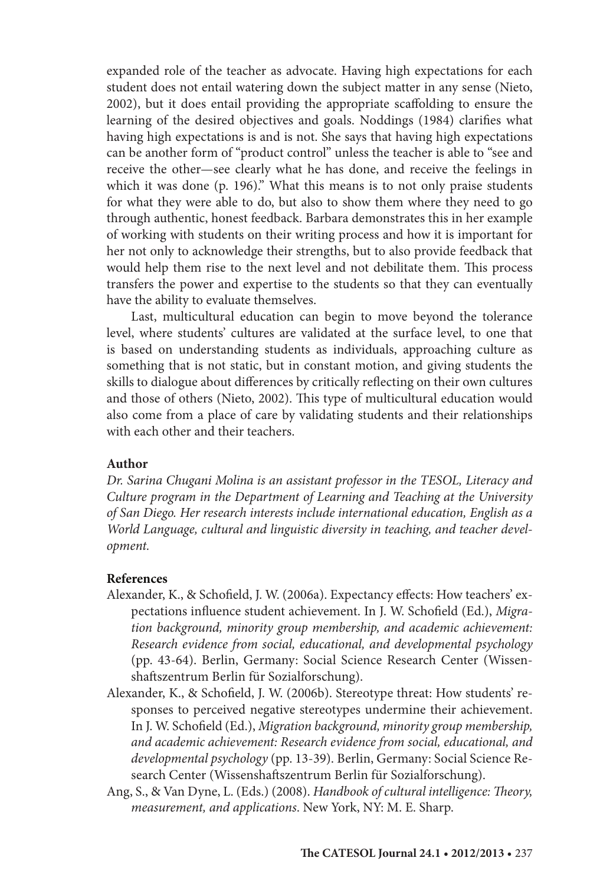expanded role of the teacher as advocate. Having high expectations for each student does not entail watering down the subject matter in any sense (Nieto, 2002), but it does entail providing the appropriate scaffolding to ensure the learning of the desired objectives and goals. Noddings (1984) clarifies what having high expectations is and is not. She says that having high expectations can be another form of "product control" unless the teacher is able to "see and receive the other—see clearly what he has done, and receive the feelings in which it was done (p. 196)." What this means is to not only praise students for what they were able to do, but also to show them where they need to go through authentic, honest feedback. Barbara demonstrates this in her example of working with students on their writing process and how it is important for her not only to acknowledge their strengths, but to also provide feedback that would help them rise to the next level and not debilitate them. This process transfers the power and expertise to the students so that they can eventually have the ability to evaluate themselves.

Last, multicultural education can begin to move beyond the tolerance level, where students' cultures are validated at the surface level, to one that is based on understanding students as individuals, approaching culture as something that is not static, but in constant motion, and giving students the skills to dialogue about differences by critically reflecting on their own cultures and those of others (Nieto, 2002). This type of multicultural education would also come from a place of care by validating students and their relationships with each other and their teachers.

#### **Author**

*Dr. Sarina Chugani Molina is an assistant professor in the TESOL, Literacy and Culture program in the Department of Learning and Teaching at the University of San Diego. Her research interests include international education, English as a World Language, cultural and linguistic diversity in teaching, and teacher development.*

#### **References**

- Alexander, K., & Schofield, J. W. (2006a). Expectancy effects: How teachers' expectations influence student achievement. In J. W. Schofield (Ed.), *Migration background, minority group membership, and academic achievement: Research evidence from social, educational, and developmental psychology* (pp. 43-64). Berlin, Germany: Social Science Research Center (Wissenshaftszentrum Berlin für Sozialforschung).
- Alexander, K., & Schofield, J. W. (2006b). Stereotype threat: How students' responses to perceived negative stereotypes undermine their achievement. In J. W. Schofield (Ed.), *Migration background, minority group membership, and academic achievement: Research evidence from social, educational, and developmental psychology* (pp. 13-39). Berlin, Germany: Social Science Research Center (Wissenshaftszentrum Berlin für Sozialforschung).
- Ang, S., & Van Dyne, L. (Eds.) (2008). *Handbook of cultural intelligence: Theory, measurement, and applications*. New York, NY: M. E. Sharp.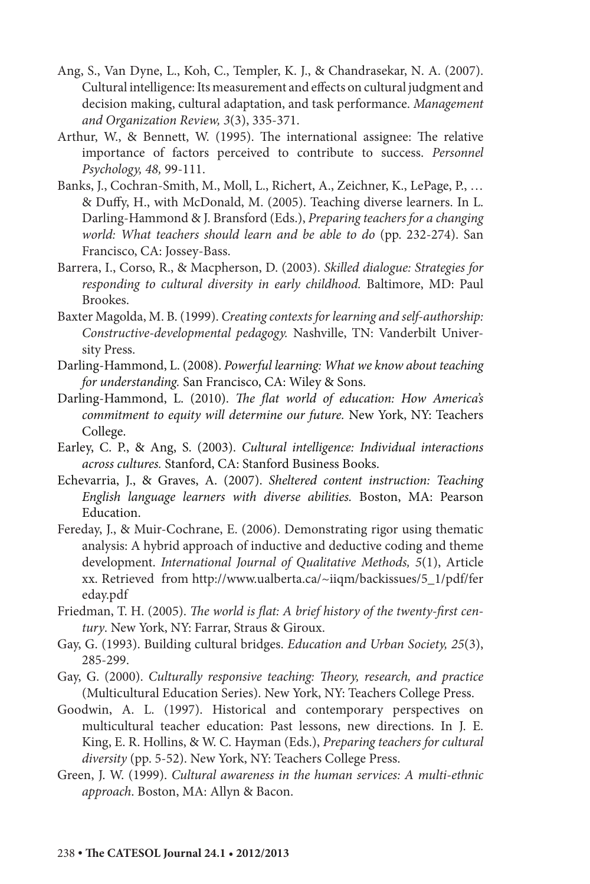- Ang, S., Van Dyne, L., Koh, C., Templer, K. J., & Chandrasekar, N. A. (2007). Cultural intelligence: Its measurement and effects on cultural judgment and decision making, cultural adaptation, and task performance. *Management and Organization Review, 3*(3), 335-371.
- Arthur, W., & Bennett, W. (1995). The international assignee: The relative importance of factors perceived to contribute to success. *Personnel Psychology, 48,* 99-111.
- Banks, J., Cochran-Smith, M., Moll, L., Richert, A., Zeichner, K., LePage, P., … & Duffy, H., with McDonald, M. (2005). Teaching diverse learners. In L. Darling-Hammond & J. Bransford (Eds.), *Preparing teachers for a changing world: What teachers should learn and be able to do* (pp. 232-274). San Francisco, CA: Jossey-Bass.
- Barrera, I., Corso, R., & Macpherson, D. (2003). *Skilled dialogue: Strategies for responding to cultural diversity in early childhood.* Baltimore, MD: Paul Brookes.
- Baxter Magolda, M. B. (1999). *Creating contexts for learning and self-authorship: Constructive-developmental pedagogy.* Nashville, TN: Vanderbilt University Press.
- Darling-Hammond, L. (2008). *Powerful learning: What we know about teaching for understanding.* San Francisco, CA: Wiley & Sons.
- Darling-Hammond, L. (2010). *The flat world of education: How America's commitment to equity will determine our future.* New York, NY: Teachers College.
- Earley, C. P., & Ang, S. (2003). *Cultural intelligence: Individual interactions across cultures.* Stanford, CA: Stanford Business Books.
- Echevarria, J., & Graves, A. (2007). *Sheltered content instruction: Teaching English language learners with diverse abilities.* Boston, MA: Pearson Education.
- Fereday, J., & Muir-Cochrane, E. (2006). Demonstrating rigor using thematic analysis: A hybrid approach of inductive and deductive coding and theme development. *International Journal of Qualitative Methods, 5*(1), Article xx. Retrieved from http://www.ualberta.ca/~iiqm/backissues/5\_1/pdf/fer eday.pdf
- Friedman, T. H. (2005). *The world is flat: A brief history of the twenty-first century*. New York, NY: Farrar, Straus & Giroux.
- Gay, G. (1993). Building cultural bridges. *Education and Urban Society, 25*(3), 285-299.
- Gay, G. (2000). *Culturally responsive teaching: Theory, research, and practice*  (Multicultural Education Series). New York, NY: Teachers College Press.
- Goodwin, A. L. (1997). Historical and contemporary perspectives on multicultural teacher education: Past lessons, new directions. In J. E. King, E. R. Hollins, & W. C. Hayman (Eds.), *Preparing teachers for cultural diversity* (pp. 5-52). New York, NY: Teachers College Press.
- Green, J. W. (1999). *Cultural awareness in the human services: A multi-ethnic approach*. Boston, MA: Allyn & Bacon.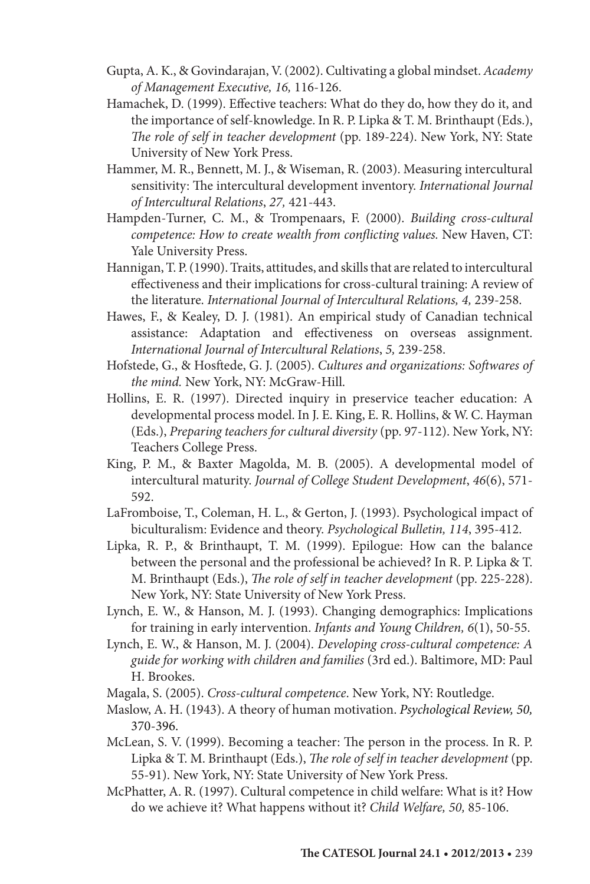- Gupta, A. K., & Govindarajan, V. (2002). Cultivating a global mindset. *Academy of Management Executive, 16,* 116-126.
- Hamachek, D. (1999). Effective teachers: What do they do, how they do it, and the importance of self-knowledge. In R. P. Lipka & T. M. Brinthaupt (Eds.), *The role of self in teacher development* (pp. 189-224). New York, NY: State University of New York Press.
- Hammer, M. R., Bennett, M. J., & Wiseman, R. (2003). Measuring intercultural sensitivity: The intercultural development inventory. *International Journal of Intercultural Relations*, *27,* 421-443.
- Hampden-Turner, C. M., & Trompenaars, F. (2000). *Building cross-cultural competence: How to create wealth from conflicting values.* New Haven, CT: Yale University Press.
- Hannigan, T. P. (1990). Traits, attitudes, and skills that are related to intercultural effectiveness and their implications for cross-cultural training: A review of the literature. *International Journal of Intercultural Relations, 4,* 239-258.
- Hawes, F., & Kealey, D. J. (1981). An empirical study of Canadian technical assistance: Adaptation and effectiveness on overseas assignment. *International Journal of Intercultural Relations*, *5,* 239-258.
- Hofstede, G., & Hosftede, G. J. (2005). *Cultures and organizations: Softwares of the mind.* New York, NY: McGraw-Hill.
- Hollins, E. R. (1997). Directed inquiry in preservice teacher education: A developmental process model. In J. E. King, E. R. Hollins, & W. C. Hayman (Eds.), *Preparing teachers for cultural diversity* (pp. 97-112). New York, NY: Teachers College Press.
- King, P. M., & Baxter Magolda, M. B. (2005). A developmental model of intercultural maturity. *Journal of College Student Development*, *46*(6), 571- 592.
- LaFromboise, T., Coleman, H. L., & Gerton, J. (1993). Psychological impact of biculturalism: Evidence and theory. *Psychological Bulletin, 114*, 395-412.
- Lipka, R. P., & Brinthaupt, T. M. (1999). Epilogue: How can the balance between the personal and the professional be achieved? In R. P. Lipka & T. M. Brinthaupt (Eds.), *The role of self in teacher development* (pp. 225-228). New York, NY: State University of New York Press.
- Lynch, E. W., & Hanson, M. J. (1993). Changing demographics: Implications for training in early intervention. *Infants and Young Children, 6*(1), 50-55.
- Lynch, E. W., & Hanson, M. J. (2004). *Developing cross-cultural competence: A guide for working with children and families* (3rd ed.). Baltimore, MD: Paul H. Brookes.
- Magala, S. (2005). *Cross-cultural competence*. New York, NY: Routledge.
- Maslow, A. H. (1943). A theory of human motivation. *Psychological Review, 50,* 370-396.
- McLean, S. V. (1999). Becoming a teacher: The person in the process. In R. P. Lipka & T. M. Brinthaupt (Eds.), *The role of self in teacher development* (pp. 55-91). New York, NY: State University of New York Press.
- McPhatter, A. R. (1997). Cultural competence in child welfare: What is it? How do we achieve it? What happens without it? *Child Welfare, 50,* 85-106.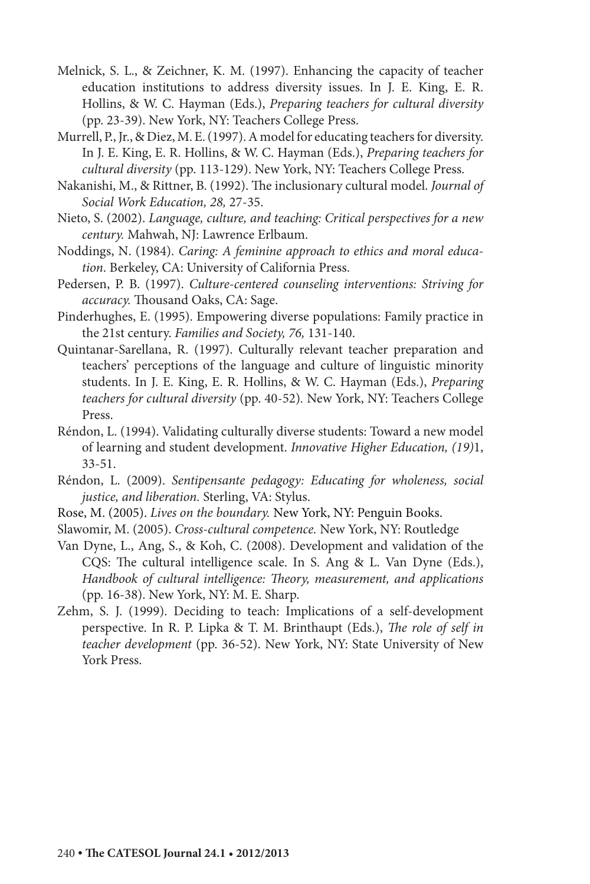- Melnick, S. L., & Zeichner, K. M. (1997). Enhancing the capacity of teacher education institutions to address diversity issues. In J. E. King, E. R. Hollins, & W. C. Hayman (Eds.), *Preparing teachers for cultural diversity*  (pp. 23-39). New York, NY: Teachers College Press.
- Murrell, P., Jr., & Diez, M. E. (1997). A model for educating teachers for diversity. In J. E. King, E. R. Hollins, & W. C. Hayman (Eds.), *Preparing teachers for cultural diversity* (pp. 113-129). New York, NY: Teachers College Press.
- Nakanishi, M., & Rittner, B. (1992). The inclusionary cultural model. *Journal of Social Work Education, 28,* 27-35.
- Nieto, S. (2002). *Language, culture, and teaching: Critical perspectives for a new century.* Mahwah, NJ: Lawrence Erlbaum.
- Noddings, N. (1984). *Caring: A feminine approach to ethics and moral education*. Berkeley, CA: University of California Press.
- Pedersen, P. B. (1997). *Culture-centered counseling interventions: Striving for accuracy.* Thousand Oaks, CA: Sage.
- Pinderhughes, E. (1995). Empowering diverse populations: Family practice in the 21st century. *Families and Society, 76,* 131-140.
- Quintanar-Sarellana, R. (1997). Culturally relevant teacher preparation and teachers' perceptions of the language and culture of linguistic minority students. In J. E. King, E. R. Hollins, & W. C. Hayman (Eds.), *Preparing teachers for cultural diversity* (pp. 40-52)*.* New York, NY: Teachers College Press.
- Réndon, L. (1994). Validating culturally diverse students: Toward a new model of learning and student development. *Innovative Higher Education, (19)*1, 33-51.
- Réndon, L. (2009). *Sentipensante pedagogy: Educating for wholeness, social justice, and liberation.* Sterling, VA: Stylus.
- Rose, M. (2005). *Lives on the boundary.* New York, NY: Penguin Books.
- Slawomir, M. (2005). *Cross-cultural competence.* New York, NY: Routledge
- Van Dyne, L., Ang, S., & Koh, C. (2008). Development and validation of the CQS: The cultural intelligence scale. In S. Ang & L. Van Dyne (Eds.), *Handbook of cultural intelligence: Theory, measurement, and applications* (pp. 16-38). New York, NY: M. E. Sharp.
- Zehm, S. J. (1999). Deciding to teach: Implications of a self-development perspective. In R. P. Lipka & T. M. Brinthaupt (Eds.), *The role of self in teacher development* (pp. 36-52). New York, NY: State University of New York Press.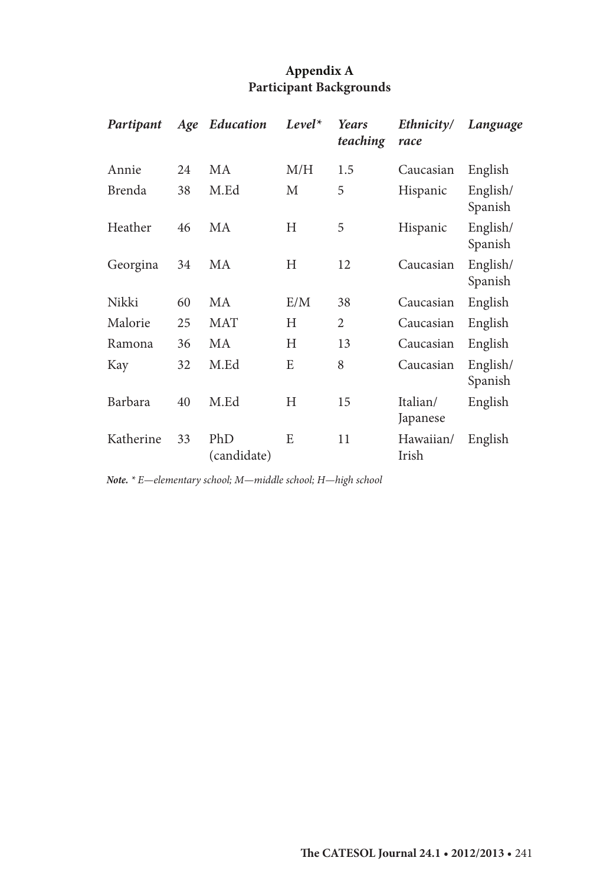## **Appendix A Participant Backgrounds**

| Partipant | Age | Education          | $Level^*$ | Years<br>teaching | Ethnicity/<br>race   | Language            |
|-----------|-----|--------------------|-----------|-------------------|----------------------|---------------------|
| Annie     | 24  | MA                 | M/H       | 1.5               | Caucasian            | English             |
| Brenda    | 38  | M.Ed               | М         | 5                 | Hispanic             | English/<br>Spanish |
| Heather   | 46  | MA                 | H         | 5                 | Hispanic             | English/<br>Spanish |
| Georgina  | 34  | МA                 | Н         | 12                | Caucasian            | English/<br>Spanish |
| Nikki     | 60  | MA                 | E/M       | 38                | Caucasian            | English             |
| Malorie   | 25  | <b>MAT</b>         | H         | 2                 | Caucasian            | English             |
| Ramona    | 36  | MA                 | H         | 13                | Caucasian            | English             |
| Kay       | 32  | M.Ed               | E         | 8                 | Caucasian            | English/<br>Spanish |
| Barbara   | 40  | M.Ed               | H         | 15                | Italian/<br>Japanese | English             |
| Katherine | 33  | PhD<br>(candidate) | E         | 11                | Hawaiian/<br>Irish   | English             |

*Note. \* E—elementary school; M—middle school; H—high school*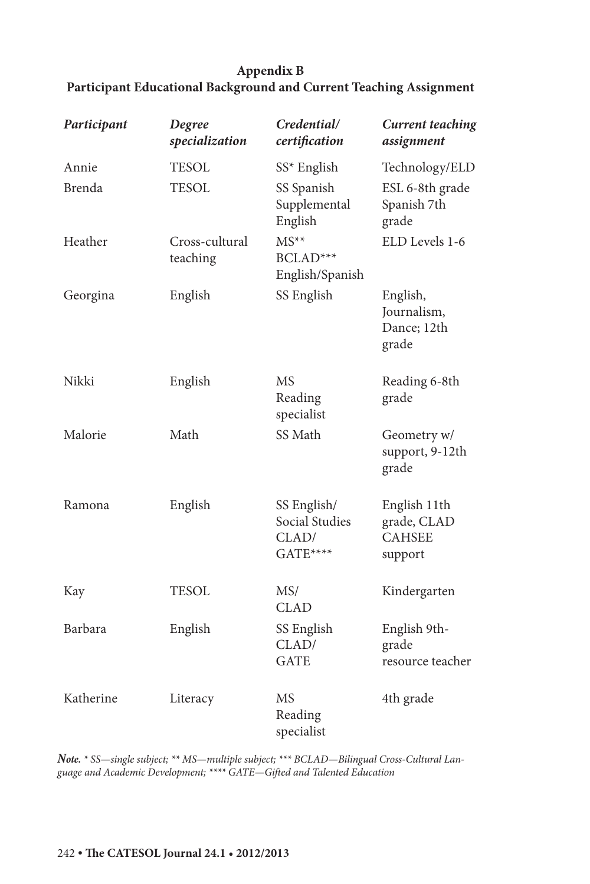## **Appendix B Participant Educational Background and Current Teaching Assignment**

| Participant | Degree<br>specialization   | Credential/<br>certification                       | <b>Current teaching</b><br>assignment                   |
|-------------|----------------------------|----------------------------------------------------|---------------------------------------------------------|
| Annie       | <b>TESOL</b>               | SS* English                                        | Technology/ELD                                          |
| Brenda      | <b>TESOL</b>               | SS Spanish<br>Supplemental<br>English              | ESL 6-8th grade<br>Spanish 7th<br>grade                 |
| Heather     | Cross-cultural<br>teaching | $MS^{**}$<br>BCLAD***<br>English/Spanish           | ELD Levels 1-6                                          |
| Georgina    | English                    | SS English                                         | English,<br>Journalism,<br>Dance; 12th<br>grade         |
| Nikki       | English                    | <b>MS</b><br>Reading<br>specialist                 | Reading 6-8th<br>grade                                  |
| Malorie     | Math                       | SS Math                                            | Geometry w/<br>support, 9-12th<br>grade                 |
| Ramona      | English                    | SS English/<br>Social Studies<br>CLAD/<br>GATE**** | English 11th<br>grade, CLAD<br><b>CAHSEE</b><br>support |
| Kay         | <b>TESOL</b>               | MS/<br><b>CLAD</b>                                 | Kindergarten                                            |
| Barbara     | English                    | SS English<br>CLAD/<br><b>GATE</b>                 | English 9th-<br>grade<br>resource teacher               |
| Katherine   | Literacy                   | MS<br>Reading<br>specialist                        | 4th grade                                               |

*Note. \* SS—single subject; \*\* MS—multiple subject; \*\*\* BCLAD—Bilingual Cross-Cultural Language and Academic Development; \*\*\*\* GATE—Gifted and Talented Education*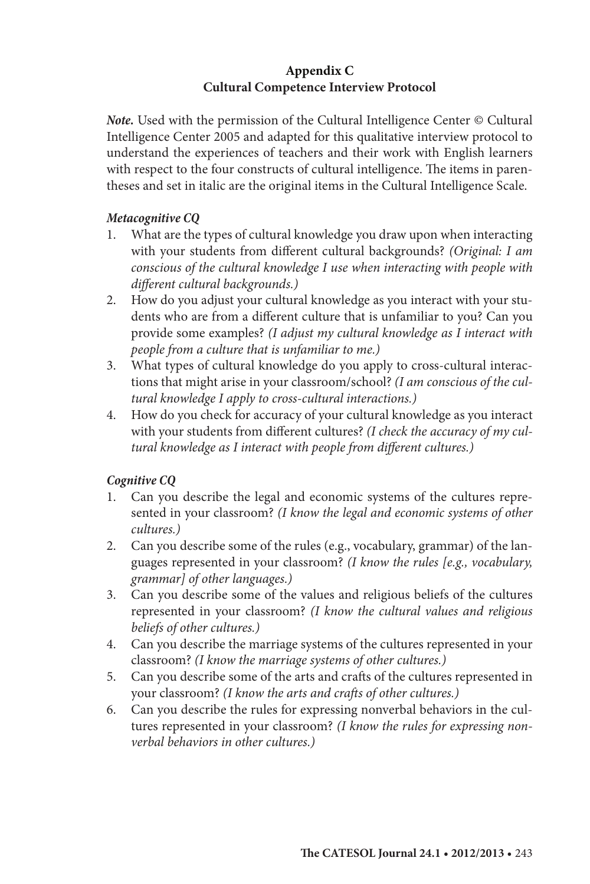## **Appendix C Cultural Competence Interview Protocol**

*Note.* Used with the permission of the Cultural Intelligence Center © Cultural Intelligence Center 2005 and adapted for this qualitative interview protocol to understand the experiences of teachers and their work with English learners with respect to the four constructs of cultural intelligence. The items in parentheses and set in italic are the original items in the Cultural Intelligence Scale.

## *Metacognitive CQ*

- 1. What are the types of cultural knowledge you draw upon when interacting with your students from different cultural backgrounds? *(Original: I am conscious of the cultural knowledge I use when interacting with people with different cultural backgrounds.)*
- 2. How do you adjust your cultural knowledge as you interact with your students who are from a different culture that is unfamiliar to you? Can you provide some examples? *(I adjust my cultural knowledge as I interact with people from a culture that is unfamiliar to me.)*
- 3. What types of cultural knowledge do you apply to cross-cultural interactions that might arise in your classroom/school? *(I am conscious of the cultural knowledge I apply to cross-cultural interactions.)*
- 4. How do you check for accuracy of your cultural knowledge as you interact with your students from different cultures? *(I check the accuracy of my cultural knowledge as I interact with people from different cultures.)*

### *Cognitive CQ*

- 1. Can you describe the legal and economic systems of the cultures represented in your classroom? *(I know the legal and economic systems of other cultures.)*
- 2. Can you describe some of the rules (e.g., vocabulary, grammar) of the languages represented in your classroom? *(I know the rules [e.g., vocabulary, grammar] of other languages.)*
- 3. Can you describe some of the values and religious beliefs of the cultures represented in your classroom? *(I know the cultural values and religious beliefs of other cultures.)*
- 4. Can you describe the marriage systems of the cultures represented in your classroom? *(I know the marriage systems of other cultures.)*
- 5. Can you describe some of the arts and crafts of the cultures represented in your classroom? *(I know the arts and crafts of other cultures.)*
- 6. Can you describe the rules for expressing nonverbal behaviors in the cultures represented in your classroom? *(I know the rules for expressing nonverbal behaviors in other cultures.)*